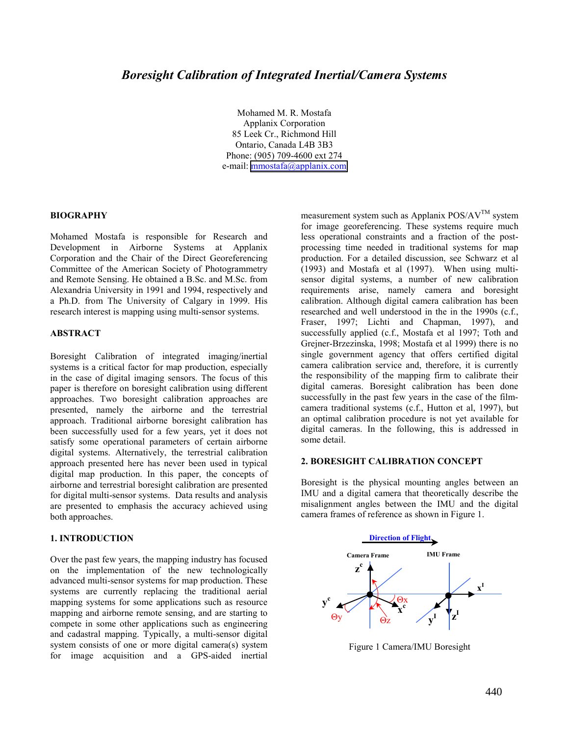Mohamed M. R. Mostafa Applanix Corporation 85 Leek Cr., Richmond Hill Ontario, Canada L4B 3B3 Phone: (905) 709-4600 ext 274 e-mail: [mmostafa@applanix.com](mailto:mmostafa@applanix.com)

#### **BIOGRAPHY**

Mohamed Mostafa is responsible for Research and Development in Airborne Systems at Applanix Corporation and the Chair of the Direct Georeferencing Committee of the American Society of Photogrammetry and Remote Sensing. He obtained a B.Sc. and M.Sc. from Alexandria University in 1991 and 1994, respectively and a Ph.D. from The University of Calgary in 1999. His research interest is mapping using multi-sensor systems.

## **ABSTRACT**

Boresight Calibration of integrated imaging/inertial systems is a critical factor for map production, especially in the case of digital imaging sensors. The focus of this paper is therefore on boresight calibration using different approaches. Two boresight calibration approaches are presented, namely the airborne and the terrestrial approach. Traditional airborne boresight calibration has been successfully used for a few years, yet it does not satisfy some operational parameters of certain airborne digital systems. Alternatively, the terrestrial calibration approach presented here has never been used in typical digital map production. In this paper, the concepts of airborne and terrestrial boresight calibration are presented for digital multi-sensor systems. Data results and analysis are presented to emphasis the accuracy achieved using both approaches.

#### **1. INTRODUCTION**

Over the past few years, the mapping industry has focused on the implementation of the new technologically advanced multi-sensor systems for map production. These systems are currently replacing the traditional aerial mapping systems for some applications such as resource mapping and airborne remote sensing, and are starting to compete in some other applications such as engineering and cadastral mapping. Typically, a multi-sensor digital system consists of one or more digital camera(s) system for image acquisition and a GPS-aided inertial

measurement system such as Applanix  $POS/AV^{TM}$  system for image georeferencing. These systems require much less operational constraints and a fraction of the postprocessing time needed in traditional systems for map production. For a detailed discussion, see Schwarz et al (1993) and Mostafa et al (1997). When using multisensor digital systems, a number of new calibration requirements arise, namely camera and boresight calibration. Although digital camera calibration has been researched and well understood in the in the 1990s (c.f., Fraser, 1997; Lichti and Chapman, 1997), and successfully applied (c.f., Mostafa et al 1997; Toth and Grejner-Brzezinska, 1998; Mostafa et al 1999) there is no single government agency that offers certified digital camera calibration service and, therefore, it is currently the responsibility of the mapping firm to calibrate their digital cameras. Boresight calibration has been done successfully in the past few years in the case of the filmcamera traditional systems (c.f., Hutton et al, 1997), but an optimal calibration procedure is not yet available for digital cameras. In the following, this is addressed in some detail.

### **2. BORESIGHT CALIBRATION CONCEPT**

Boresight is the physical mounting angles between an IMU and a digital camera that theoretically describe the misalignment angles between the IMU and the digital camera frames of reference as shown in Figure 1.



Figure 1 Camera/IMU Boresight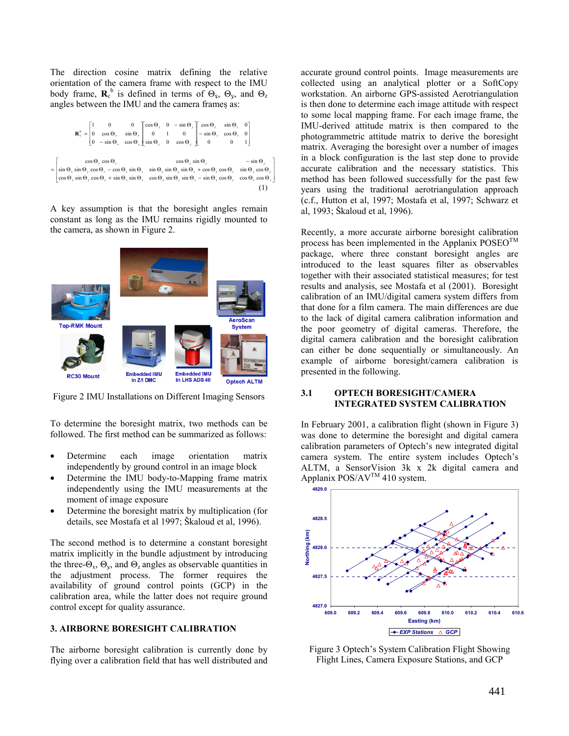The direction cosine matrix defining the relative orientation of the camera frame with respect to the IMU body frame,  $\mathbf{R}_c^b$  is defined in terms of  $\Theta_x$ ,  $\Theta_y$ , and  $\Theta_z$ angles between the IMU and the camera frames as:

$$
\mathbf{R}_{e}^{b} = \begin{bmatrix} 1 & 0 & 0 \ 0 & \cos \theta_{y} & \sin \theta_{y} \ 0 & 1 & 0 \ 0 & -\sin \theta_{y} & \cos \theta_{z} \ \end{bmatrix} \begin{bmatrix} \cos \theta_{y} & 0 & -\sin \theta_{y} \ -\sin \theta_{z} & \cos \theta_{z} & 0 \ 0 & 0 & 1 \end{bmatrix}
$$

$$
= \begin{bmatrix} \cos \theta_{y} \cos \theta_{z} & \cos \theta_{z} \\ \sin \theta_{y} \cos \theta_{z} - \cos \theta_{z} \sin \theta_{z} & \sin \theta_{y} \sin \theta_{z} + \cos \theta_{x} \cos \theta_{z} & \sin \theta_{y} \cos \theta_{y} \\ \cos \theta_{y} \sin \theta_{y} \cos \theta_{z} + \sin \theta_{z} \sin \theta_{z} & \cos \theta_{y} \sin \theta_{z} + \cos \theta_{x} \cos \theta_{z} & \sin \theta_{x} \cos \theta_{y} \end{bmatrix}
$$

$$
= \begin{bmatrix} 1 & 0 & 0 \\ 0 & 0 & 0 \\ 0 & 0 & 0 \end{bmatrix}
$$

A key assumption is that the boresight angles remain constant as long as the IMU remains rigidly mounted to the camera, as shown in Figure 2.



Figure 2 IMU Installations on Different Imaging Sensors

To determine the boresight matrix, two methods can be followed. The first method can be summarized as follows:

- Determine each image orientation matrix independently by ground control in an image block
- Determine the IMU body-to-Mapping frame matrix independently using the IMU measurements at the moment of image exposure
- Determine the boresight matrix by multiplication (for details, see Mostafa et al 1997; Škaloud et al, 1996).

The second method is to determine a constant boresight matrix implicitly in the bundle adjustment by introducing the three- $\Theta_x$ ,  $\Theta_y$ , and  $\Theta_z$  angles as observable quantities in the adjustment process. The former requires the availability of ground control points (GCP) in the calibration area, while the latter does not require ground control except for quality assurance.

## **3. AIRBORNE BORESIGHT CALIBRATION**

The airborne boresight calibration is currently done by flying over a calibration field that has well distributed and accurate ground control points. Image measurements are collected using an analytical plotter or a SoftCopy workstation. An airborne GPS-assisted Aerotriangulation is then done to determine each image attitude with respect to some local mapping frame. For each image frame, the IMU-derived attitude matrix is then compared to the photogrammetric attitude matrix to derive the boresight matrix. Averaging the boresight over a number of images in a block configuration is the last step done to provide accurate calibration and the necessary statistics. This method has been followed successfully for the past few years using the traditional aerotriangulation approach (c.f., Hutton et al, 1997; Mostafa et al, 1997; Schwarz et al, 1993; Škaloud et al, 1996).

Recently, a more accurate airborne boresight calibration process has been implemented in the Applanix  $\text{POSEO}^{\text{IM}}$ package, where three constant boresight angles are introduced to the least squares filter as observables together with their associated statistical measures; for test results and analysis, see Mostafa et al (2001). Boresight calibration of an IMU/digital camera system differs from that done for a film camera. The main differences are due to the lack of digital camera calibration information and the poor geometry of digital cameras. Therefore, the digital camera calibration and the boresight calibration can either be done sequentially or simultaneously. An example of airborne boresight/camera calibration is presented in the following.

### **3.1 OPTECH BORESIGHT/CAMERA INTEGRATED SYSTEM CALIBRATION**

In February 2001, a calibration flight (shown in Figure 3) was done to determine the boresight and digital camera calibration parameters of Optech's new integrated digital camera system. The entire system includes Optech's ALTM, a SensorVision 3k x 2k digital camera and Applanix  $POS/AV^{TM}$  410 system.



Figure 3 Optech's System Calibration Flight Showing Flight Lines, Camera Exposure Stations, and GCP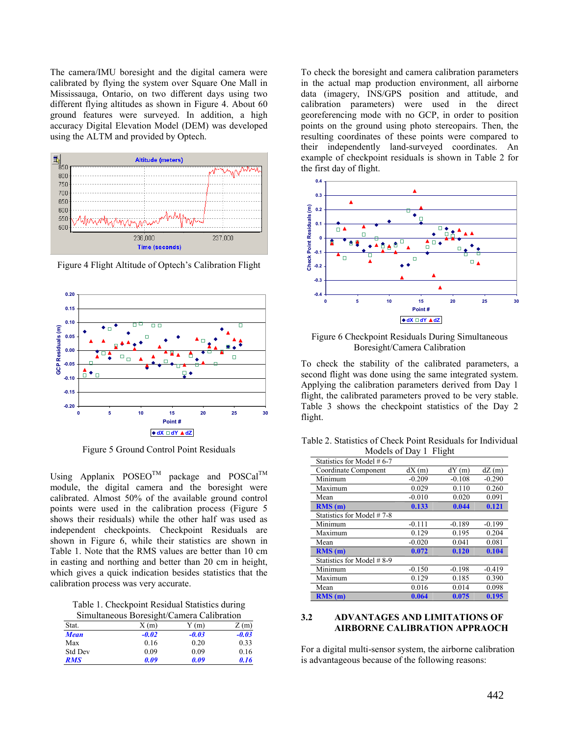The camera/IMU boresight and the digital camera were calibrated by flying the system over Square One Mall in Mississauga, Ontario, on two different days using two different flying altitudes as shown in Figure 4. About 60 ground features were surveyed. In addition, a high accuracy Digital Elevation Model (DEM) was developed using the ALTM and provided by Optech.



Figure 4 Flight Altitude of Optech's Calibration Flight



Figure 5 Ground Control Point Residuals

Using Applanix  $POSEO^{TM}$  package and  $POSCaI^{TM}$ module, the digital camera and the boresight were calibrated. Almost 50% of the available ground control points were used in the calibration process (Figure 5 shows their residuals) while the other half was used as independent checkpoints. Checkpoint Residuals are shown in Figure 6, while their statistics are shown in Table 1. Note that the RMS values are better than 10 cm in easting and northing and better than 20 cm in height, which gives a quick indication besides statistics that the calibration process was very accurate.

Table 1. Checkpoint Residual Statistics during Simultaneous Boresight/Camera Calibration

| Sundamento Borosigne Camera Canoration |         |         |         |
|----------------------------------------|---------|---------|---------|
| Stat.                                  | X(m)    | (m)     | Z(m)    |
| <b>Mean</b>                            | $-0.02$ | $-0.03$ | $-0.03$ |
| Max                                    | 0.16    | 0.20    | 0.33    |
| <b>Std Dev</b>                         | 0.09    | 0.09    | 0.16    |
| <b>RMS</b>                             | 0.09    | 0.09    | 0.16    |

To check the boresight and camera calibration parameters in the actual map production environment, all airborne data (imagery, INS/GPS position and attitude, and calibration parameters) were used in the direct georeferencing mode with no GCP, in order to position points on the ground using photo stereopairs. Then, the resulting coordinates of these points were compared to their independently land-surveyed coordinates. An example of checkpoint residuals is shown in Table 2 for the first day of flight.



Figure 6 Checkpoint Residuals During Simultaneous Boresight/Camera Calibration

To check the stability of the calibrated parameters, a second flight was done using the same integrated system. Applying the calibration parameters derived from Day 1 flight, the calibrated parameters proved to be very stable. Table 3 shows the checkpoint statistics of the Day 2 flight.

Table 2. Statistics of Check Point Residuals for Individual Models of Day 1 Flight

| $1$ VIVUVIS VI $Day$ 1 1 11gHt |          |          |          |  |
|--------------------------------|----------|----------|----------|--|
| Statistics for Model #6-7      |          |          |          |  |
| Coordinate Component           | dX(m)    | dY(m)    | dZ(m)    |  |
| Minimum                        | $-0.209$ | $-0.108$ | $-0.290$ |  |
| Maximum                        | 0.029    | 0.110    | 0.260    |  |
| Mean                           | $-0.010$ | 0.020    | 0.091    |  |
| RMS(m)                         | 0.133    | 0.044    | 0.121    |  |
| Statistics for Model #7-8      |          |          |          |  |
| Minimum                        | $-0.111$ | $-0.189$ | $-0.199$ |  |
| Maximum                        | 0.129    | 0.195    | 0.204    |  |
| Mean                           | $-0.020$ | 0.041    | 0.081    |  |
| RMS(m)                         | 0.072    | 0.120    | 0.104    |  |
| Statistics for Model #8-9      |          |          |          |  |
| Minimum                        | $-0.150$ | $-0.198$ | $-0.419$ |  |
| Maximum                        | 0.129    | 0.185    | 0.390    |  |
| Mean                           | 0.016    | 0.014    | 0.098    |  |
| RMS(m)                         | 0.064    | 0.075    | 0.195    |  |

### **3.2 ADVANTAGES AND LIMITATIONS OF AIRBORNE CALIBRATION APPRAOCH**

For a digital multi-sensor system, the airborne calibration is advantageous because of the following reasons: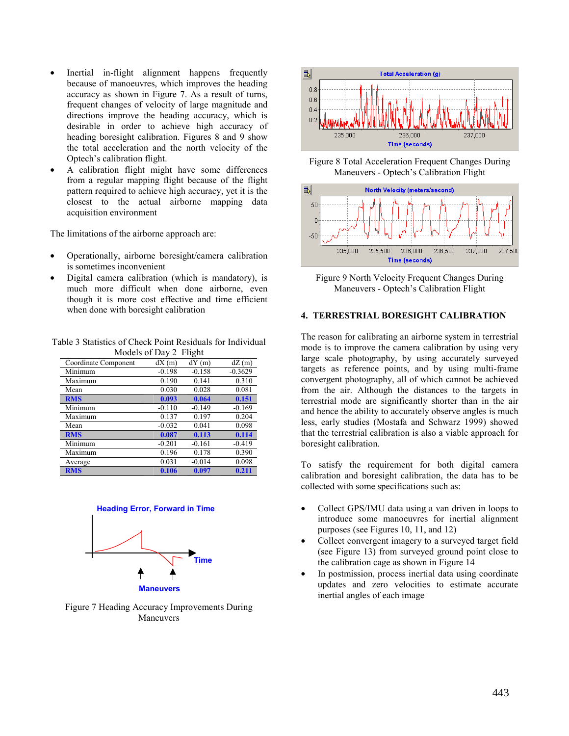- Inertial in-flight alignment happens frequently because of manoeuvres, which improves the heading accuracy as shown in Figure 7. As a result of turns, frequent changes of velocity of large magnitude and directions improve the heading accuracy, which is desirable in order to achieve high accuracy of heading boresight calibration. Figures 8 and 9 show the total acceleration and the north velocity of the Optech's calibration flight.
- A calibration flight might have some differences from a regular mapping flight because of the flight pattern required to achieve high accuracy, yet it is the closest to the actual airborne mapping data acquisition environment

The limitations of the airborne approach are:

- Operationally, airborne boresight/camera calibration is sometimes inconvenient
- Digital camera calibration (which is mandatory), is much more difficult when done airborne, even though it is more cost effective and time efficient when done with boresight calibration

Table 3 Statistics of Check Point Residuals for Individual Models of Day 2 Flight

|                      |          | ັ        |           |
|----------------------|----------|----------|-----------|
| Coordinate Component | dX(m)    | dY(m)    | dZ(m)     |
| Minimum              | $-0.198$ | $-0.158$ | $-0.3629$ |
| Maximum              | 0.190    | 0.141    | 0.310     |
| Mean                 | 0.030    | 0.028    | 0.081     |
| <b>RMS</b>           | 0.093    | 0.064    | 0.151     |
| Minimum              | $-0.110$ | $-0.149$ | $-0.169$  |
| Maximum              | 0.137    | 0.197    | 0.204     |
| Mean                 | $-0.032$ | 0.041    | 0.098     |
| <b>RMS</b>           | 0.087    | 0.113    | 0.114     |
| Minimum              | $-0.201$ | $-0.161$ | $-0.419$  |
| Maximum              | 0.196    | 0.178    | 0.390     |
| Average              | 0.031    | $-0.014$ | 0.098     |
| <b>RMS</b>           | 0.106    | 0.097    | 0.211     |
|                      |          |          |           |



Figure 7 Heading Accuracy Improvements During Maneuvers



Figure 8 Total Acceleration Frequent Changes During Maneuvers - Optech's Calibration Flight



Figure 9 North Velocity Frequent Changes During Maneuvers - Optech's Calibration Flight

### **4. TERRESTRIAL BORESIGHT CALIBRATION**

The reason for calibrating an airborne system in terrestrial mode is to improve the camera calibration by using very large scale photography, by using accurately surveyed targets as reference points, and by using multi-frame convergent photography, all of which cannot be achieved from the air. Although the distances to the targets in terrestrial mode are significantly shorter than in the air and hence the ability to accurately observe angles is much less, early studies (Mostafa and Schwarz 1999) showed that the terrestrial calibration is also a viable approach for boresight calibration.

To satisfy the requirement for both digital camera calibration and boresight calibration, the data has to be collected with some specifications such as:

- Collect GPS/IMU data using a van driven in loops to introduce some manoeuvres for inertial alignment purposes (see Figures 10, 11, and 12)
- Collect convergent imagery to a surveyed target field (see Figure 13) from surveyed ground point close to the calibration cage as shown in Figure 14
- In postmission, process inertial data using coordinate updates and zero velocities to estimate accurate inertial angles of each image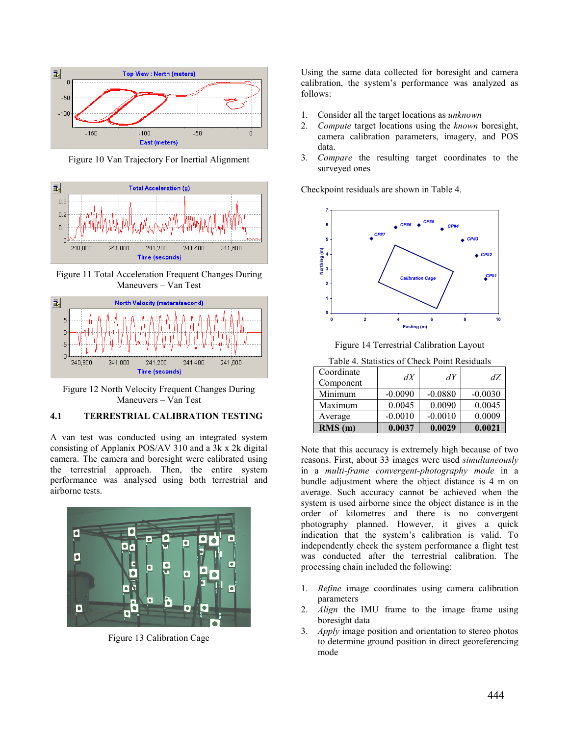

Figure 10 Van Trajectory For Inertial Alignment



Figure 11 Total Acceleration Frequent Changes During Maneuvers – Van Test



Figure 12 North Velocity Frequent Changes During Maneuvers – Van Test

## **4.1 TERRESTRIAL CALIBRATION TESTING**

A van test was conducted using an integrated system consisting of Applanix POS/AV 310 and a 3k x 2k digital camera. The camera and boresight were calibrated using the terrestrial approach. Then, the entire system performance was analysed using both terrestrial and airborne tests.



Figure 13 Calibration Cage

Using the same data collected for boresight and camera calibration, the system's performance was analyzed as follows:

- 1. Consider all the target locations as *unknown*
- 2. *Compute* target locations using the *known* boresight, camera calibration parameters, imagery, and POS data.
- 3. *Compare* the resulting target coordinates to the surveyed ones

Checkpoint residuals are shown in Table 4.



Figure 14 Terrestrial Calibration Layout

| Table 4. Statistics of Check Point Residuals |           |           |           |
|----------------------------------------------|-----------|-----------|-----------|
| Coordinate<br>Component                      | dX        | dY        | dZ        |
| Minimum                                      | $-0.0090$ | $-0.0880$ | $-0.0030$ |
| Maximum                                      | 0.0045    | 0.0090    | 0.0045    |
| Average                                      | $-0.0010$ | $-0.0010$ | 0.0009    |
| RMS(m)                                       | 0.0037    | 0.0029    | 0.0021    |

Note that this accuracy is extremely high because of two reasons. First, about 33 images were used *simultaneously* in a *multi-frame convergent-photography mode* in a bundle adjustment where the object distance is 4 m on average. Such accuracy cannot be achieved when the system is used airborne since the object distance is in the order of kilometres and there is no convergent photography planned. However, it gives a quick indication that the system's calibration is valid. To independently check the system performance a flight test was conducted after the terrestrial calibration. The processing chain included the following:

- 1. *Refine* image coordinates using camera calibration parameters
- 2. *Align* the IMU frame to the image frame using boresight data
- 3. *Apply* image position and orientation to stereo photos to determine ground position in direct georeferencing mode